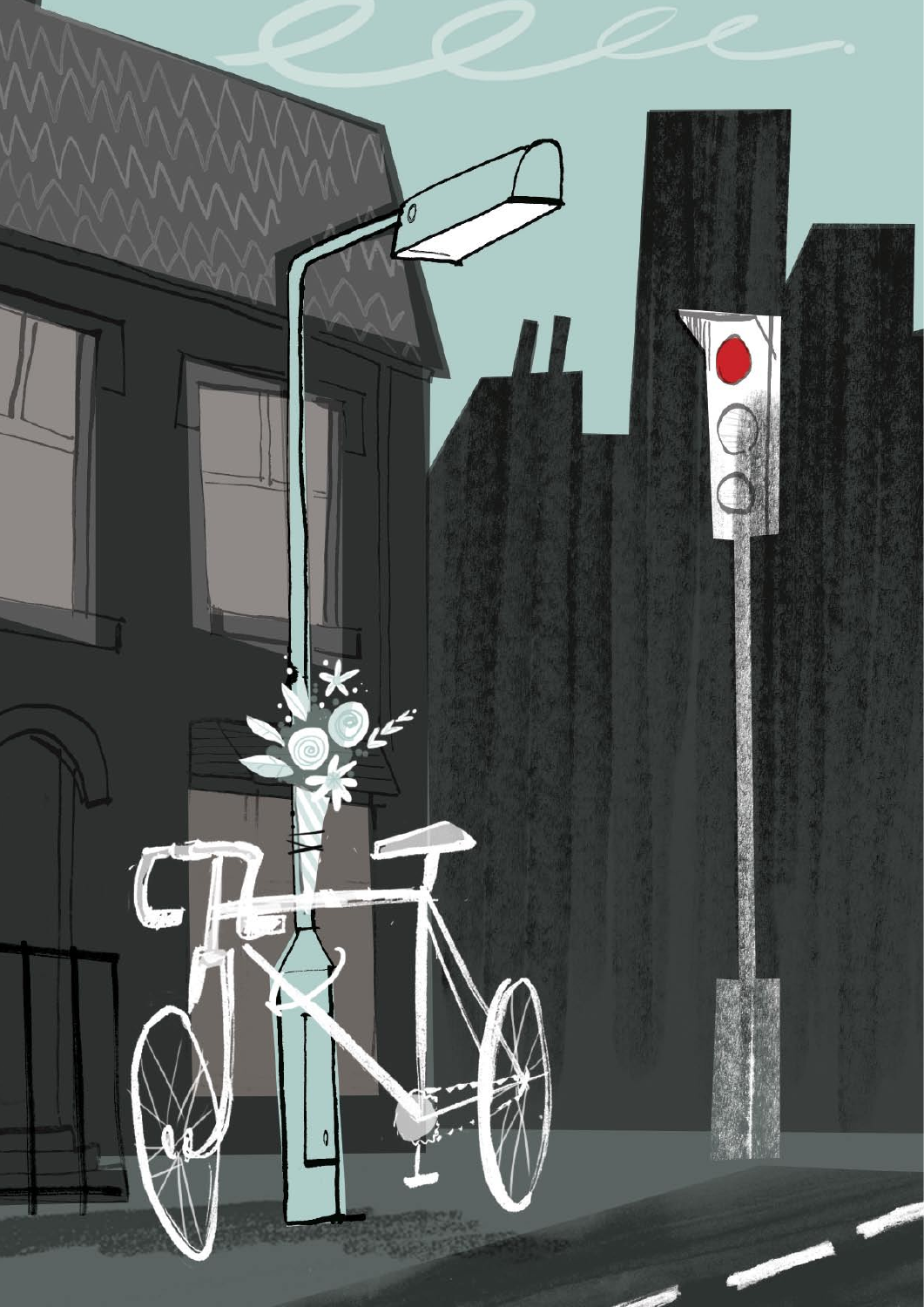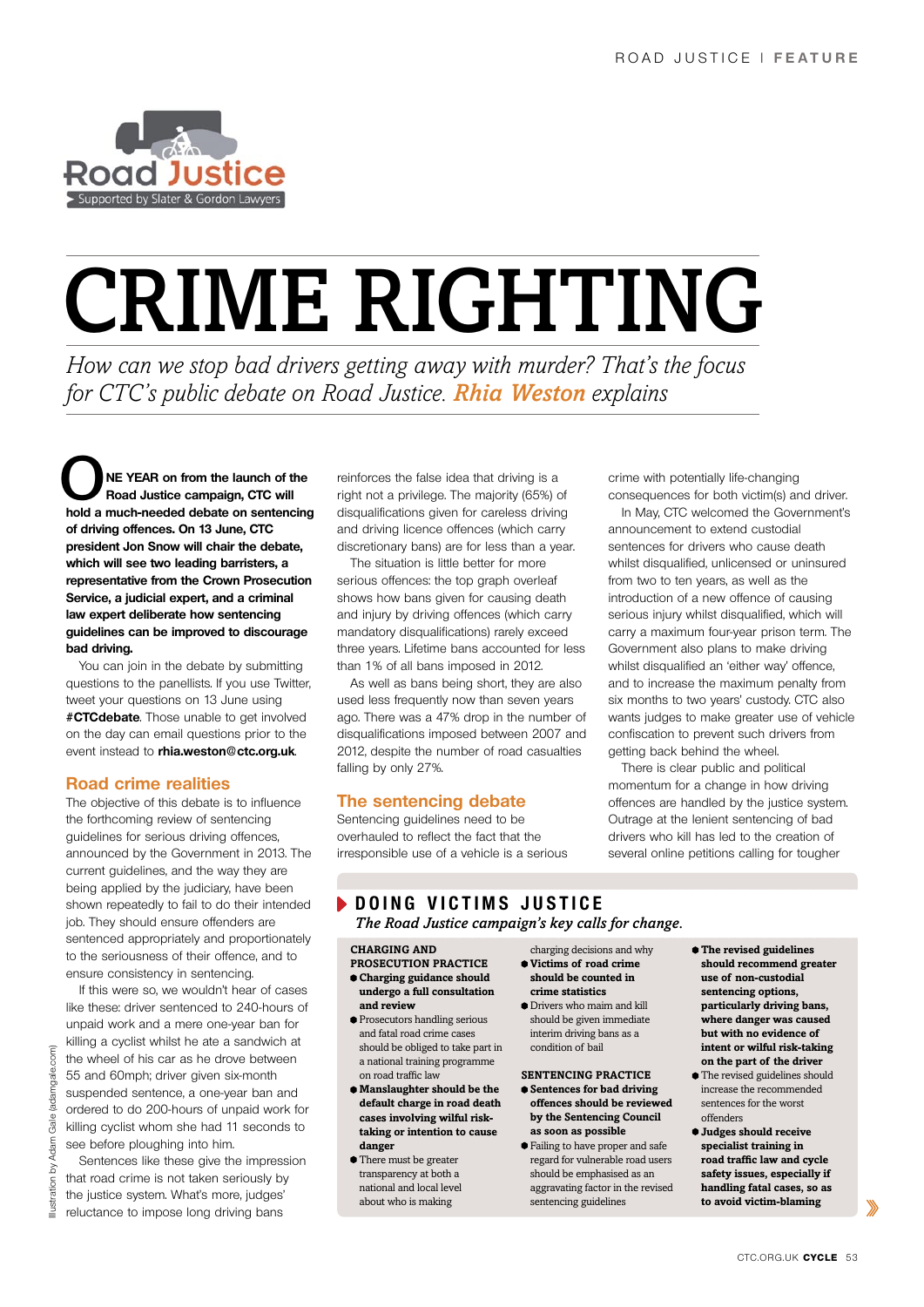

# CRIME RIGHTING

*How can we stop bad drivers getting away with murder? That's the focus for CTC's public debate on Road Justice. Rhia Weston explains* 

**NE YEAR on from the launch of the Road Justice campaign, CTC will hold a much-needed debate on sentencing of driving offences. On 13 June, CTC president Jon Snow will chair the debate, which will see two leading barristers, a representative from the Crown Prosecution Service, a judicial expert, and a criminal law expert deliberate how sentencing guidelines can be improved to discourage bad driving.** 

You can join in the debate by submitting questions to the panellists. If you use Twitter, tweet your questions on 13 June using **#CTCdebate**. Those unable to get involved on the day can email questions prior to the event instead to **rhia.weston@ctc.org.uk**.

# **Road crime realities**

The objective of this debate is to influence the forthcoming review of sentencing guidelines for serious driving offences, announced by the Government in 2013. The current guidelines, and the way they are being applied by the judiciary, have been shown repeatedly to fail to do their intended job. They should ensure offenders are sentenced appropriately and proportionately to the seriousness of their offence, and to ensure consistency in sentencing.

If this were so, we wouldn't hear of cases like these: driver sentenced to 240-hours of unpaid work and a mere one-year ban for killing a cyclist whilst he ate a sandwich at the wheel of his car as he drove between 55 and 60mph; driver given six-month suspended sentence, a one-year ban and ordered to do 200-hours of unpaid work for killing cyclist whom she had 11 seconds to see before ploughing into him.

Sentences like these give the impression that road crime is not taken seriously by the justice system. What's more, judges' reluctance to impose long driving bans

reinforces the false idea that driving is a right not a privilege. The majority (65%) of disqualifications given for careless driving and driving licence offences (which carry discretionary bans) are for less than a year.

The situation is little better for more serious offences: the top graph overleaf shows how bans given for causing death and injury by driving offences (which carry mandatory disqualifications) rarely exceed three years. Lifetime bans accounted for less than 1% of all bans imposed in 2012.

As well as bans being short, they are also used less frequently now than seven years ago. There was a 47% drop in the number of disqualifications imposed between 2007 and 2012, despite the number of road casualties falling by only 27%.

# **The sentencing debate**

Sentencing guidelines need to be overhauled to reflect the fact that the irresponsible use of a vehicle is a serious crime with potentially life-changing consequences for both victim(s) and driver.

In May, CTC welcomed the Government's announcement to extend custodial sentences for drivers who cause death whilst disqualified, unlicensed or uninsured from two to ten years, as well as the introduction of a new offence of causing serious injury whilst disqualified, which will carry a maximum four-year prison term. The Government also plans to make driving whilst disqualified an 'either way' offence, and to increase the maximum penalty from six months to two years' custody. CTC also wants judges to make greater use of vehicle confiscation to prevent such drivers from getting back behind the wheel.

There is clear public and political momentum for a change in how driving offences are handled by the justice system. Outrage at the lenient sentencing of bad drivers who kill has led to the creation of several online petitions calling for tougher

# *The Road Justice campaign's key calls for change.* **Doing victims justice**

## **Charging and**

- **prosecution practice Charging guidance should undergo a full consultation and review**
- Prosecutors handling serious and fatal road crime cases should be obliged to take part in a national training programme on road traffic law
- **Manslaughter should be the default charge in road death cases involving wilful risktaking or intention to cause danger**
- **There must be greater** transparency at both a national and local level about who is making
- charging decisions and why **Victims of road crime should be counted in crime statistics**
- Drivers who maim and kill should be given immediate interim driving bans as a condition of bail

#### **Sentencing practice**

- **Sentences for bad driving offences should be reviewed by the Sentencing Council as soon as possible**
- Failing to have proper and safe regard for vulnerable road users should be emphasised as an aggravating factor in the revised sentencing guidelines
- **The revised guidelines should recommend greater use of non-custodial sentencing options, particularly driving bans, where danger was caused but with no evidence of intent or wilful risk-taking on the part of the driver**
- The revised guidelines should increase the recommended sentences for the worst offenders
- **Judges should receive specialist training in road traffic law and cycle safety issues, especially if handling fatal cases, so as to avoid victim-blaming**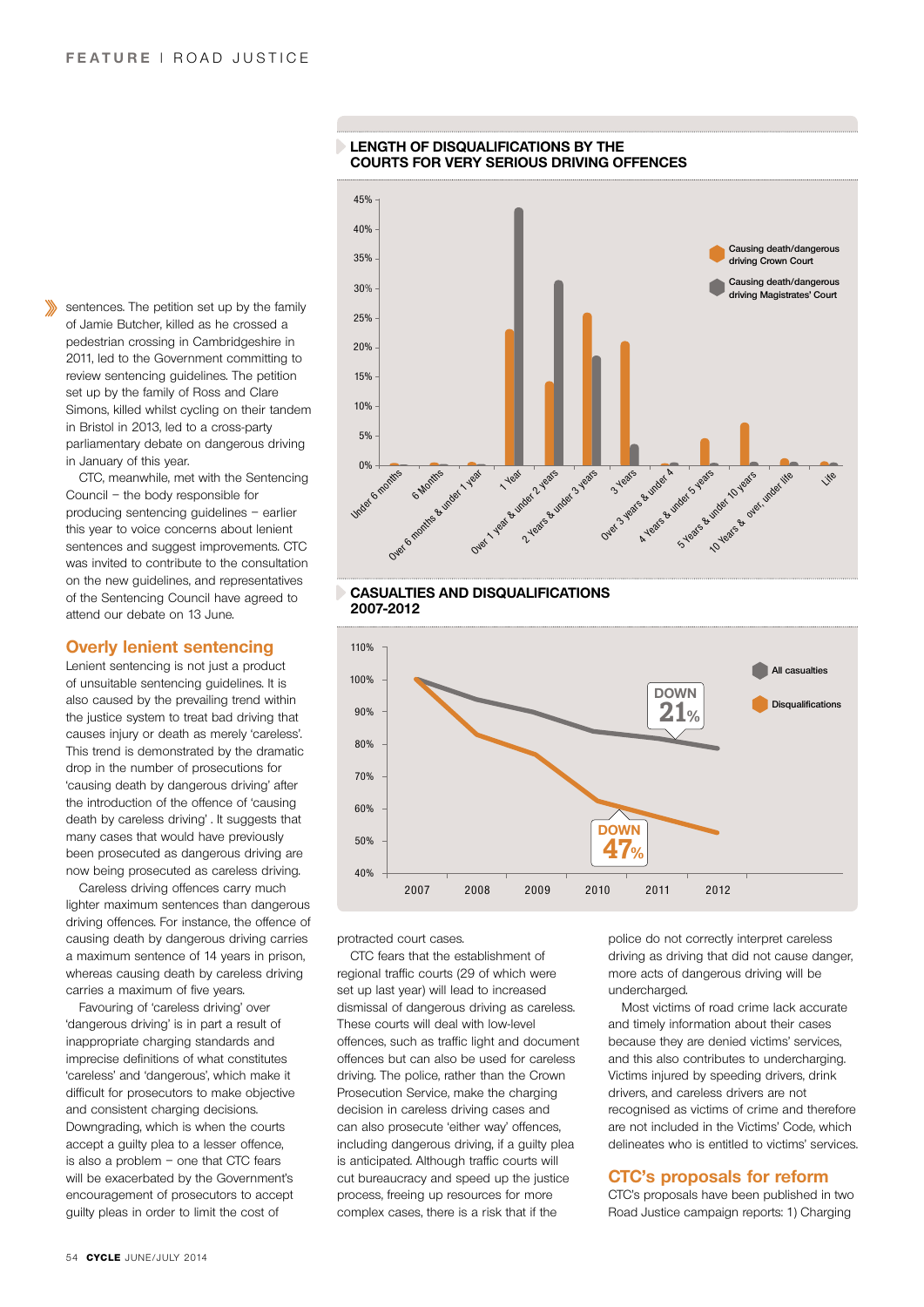sentences. The petition set up by the family of Jamie Butcher, killed as he crossed a pedestrian crossing in Cambridgeshire in 2011, led to the Government committing to review sentencing guidelines. The petition set up by the family of Ross and Clare Simons, killed whilst cycling on their tandem in Bristol in 2013, led to a cross-party parliamentary debate on dangerous driving in January of this year.

CTC, meanwhile, met with the Sentencing Council – the body responsible for producing sentencing guidelines – earlier this year to voice concerns about lenient sentences and suggest improvements. CTC was invited to contribute to the consultation on the new guidelines, and representatives of the Sentencing Council have agreed to attend our debate on 13 June.

## **Overly lenient sentencing**

Lenient sentencing is not just a product of unsuitable sentencing guidelines. It is also caused by the prevailing trend within the justice system to treat bad driving that causes injury or death as merely 'careless'. This trend is demonstrated by the dramatic drop in the number of prosecutions for 'causing death by dangerous driving' after the introduction of the offence of 'causing death by careless driving' . It suggests that many cases that would have previously been prosecuted as dangerous driving are now being prosecuted as careless driving.

Careless driving offences carry much lighter maximum sentences than dangerous driving offences. For instance, the offence of causing death by dangerous driving carries a maximum sentence of 14 years in prison, whereas causing death by careless driving carries a maximum of five years.

Favouring of 'careless driving' over 'dangerous driving' is in part a result of inappropriate charging standards and imprecise definitions of what constitutes 'careless' and 'dangerous', which make it difficult for prosecutors to make objective and consistent charging decisions. Downgrading, which is when the courts accept a guilty plea to a lesser offence, is also a problem – one that CTC fears will be exacerbated by the Government's encouragement of prosecutors to accept guilty pleas in order to limit the cost of



#### **Length of disqualifications by the courtS for very serious driving offences**

**Casualties and disqualifications 2007-2012**



protracted court cases.

CTC fears that the establishment of regional traffic courts (29 of which were set up last year) will lead to increased dismissal of dangerous driving as careless. These courts will deal with low-level offences, such as traffic light and document offences but can also be used for careless driving. The police, rather than the Crown Prosecution Service, make the charging decision in careless driving cases and can also prosecute 'either way' offences, including dangerous driving, if a guilty plea is anticipated. Although traffic courts will cut bureaucracy and speed up the justice process, freeing up resources for more complex cases, there is a risk that if the

police do not correctly interpret careless driving as driving that did not cause danger, more acts of dangerous driving will be undercharged

Most victims of road crime lack accurate and timely information about their cases because they are denied victims' services, and this also contributes to undercharging. Victims injured by speeding drivers, drink drivers, and careless drivers are not recognised as victims of crime and therefore are not included in the Victims' Code, which delineates who is entitled to victims' services.

## **CTC's proposals for reform**

CTC's proposals have been published in two Road Justice campaign reports: 1) Charging